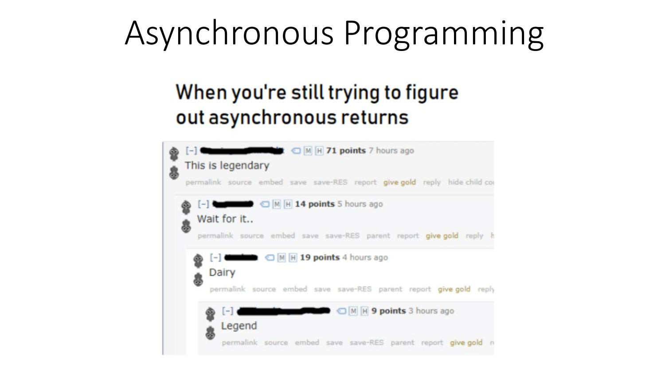# Asynchronous Programming

#### When you're still trying to figure out asynchronous returns

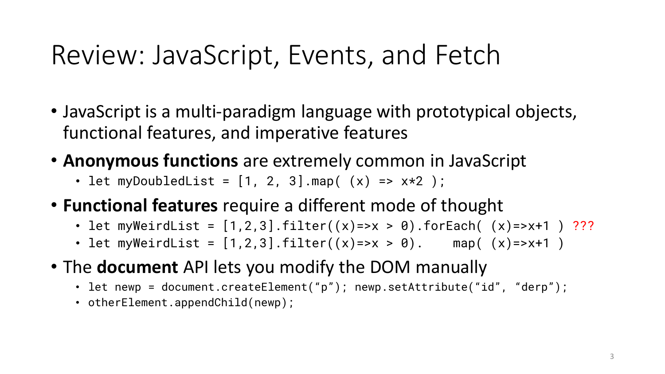## Review: JavaScript, Events, and Fetch

- JavaScript is a multi-paradigm language with prototypical objects, functional features, and imperative features
- **Anonymous functions** are extremely common in JavaScript
	- let myDoubledList =  $[1, 2, 3]$ .map( $(x)$  =>  $x*2$ );
- **Functional features** require a different mode of thought
	- let myWeirdList =  $[1,2,3]$ .filter $((x) \Rightarrow x > 0)$ .forEach $((x) \Rightarrow x + 1)$  ???
	- let myWeirdList =  $[1, 2, 3]$ .filter( $(x)$ =>x > 0). map( $(x)$ =>x+1)
- The **document** API lets you modify the DOM manually
	- let newp = document.createElement("p"); newp.setAttribute("id", "derp");
	- otherElement.appendChild(newp);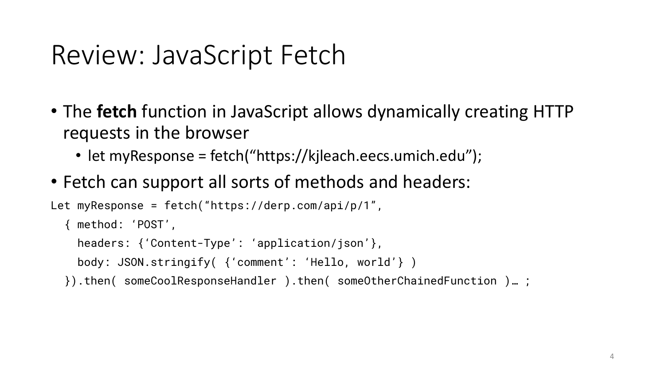## Review: JavaScript Fetch

- The **fetch** function in JavaScript allows dynamically creating HTTP requests in the browser
	- let myResponse = fetch("https://kjleach.eecs.umich.edu");
- Fetch can support all sorts of methods and headers:

```
Let myResponse = fetch("https://derp.com/api/p/1",
  { method: 'POST',
    headers: {'Content-Type': 'application/json'},
    body: JSON.stringify( {'comment': 'Hello, world'} )
  }).then( someCoolResponseHandler ).then( someOtherChainedFunction )… ;
```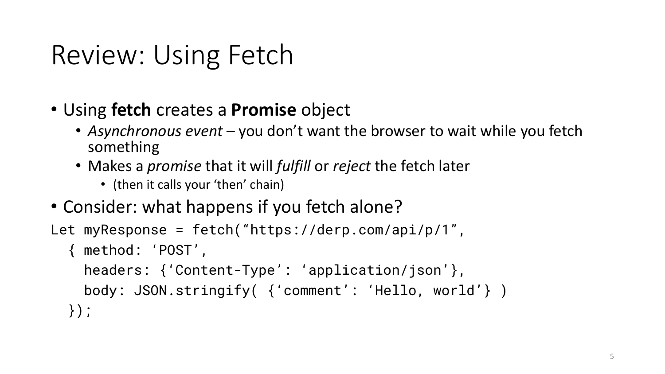# Review: Using Fetch

- Using **fetch** creates a **Promise** object
	- *Asynchronous event* you don't want the browser to wait while you fetch something
	- Makes a *promise* that it will *fulfill* or *reject* the fetch later
		- (then it calls your 'then' chain)
- Consider: what happens if you fetch alone?

```
Let myResponse = fetch("https://derp.com/api/p/1",
```

```
{ method: 'POST',
```

```
headers: {'Content-Type': 'application/json'},
 body: JSON.stringify( {'comment': 'Hello, world'} )
});
```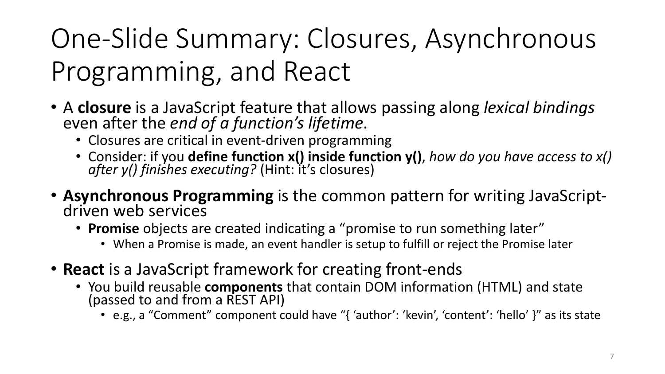# One-Slide Summary: Closures, Asynchronous Programming, and React

- <sup>A</sup>**closure** is a JavaScript feature that allows passing along *lexical bindings* even after the *end of a function's lifetime*.
	- Closures are critical in event-driven programming
	- Consider: if you **define function x() inside function y()**, *how do you have access to x()* after y() finishes executing? (Hint: it's closures)
- **Asynchronous Programming** is the common pattern for writing JavaScript- driven web services
	- **Promise** objects are created indicating a "promise to run something later"
		- When a Promise is made, an event handler is setup to fulfill or reject the Promise later
- **React** is a JavaScript framework for creating front-ends
	- You build reusable **components** that contain DOM information (HTML) and state (passed to and from a REST API)
		- e.g., a "Comment" component could have "{ 'author': 'kevin', 'content': 'hello' }" as its state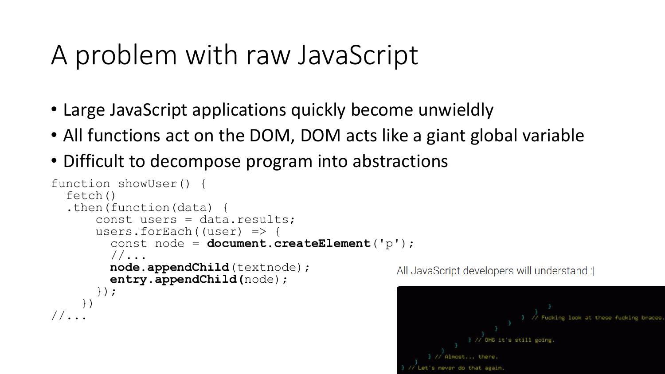## A problem with raw JavaScript

- Large JavaScript applications quickly become unwieldly
- All functions act on the DOM, DOM acts like a giant global variable
- Difficult to decompose program into abstractions

```
function showUser() {
  fetch()
  .then(function(data)
      const users = data.results;
      users.forEach((user) \Rightarrow {
        const node = document.createElement('p');
        //...
        node.appendChild(textnode);
        entry.appendChild(node);
      });
    })
//\ldots
```
All JavaScript developers will understand :|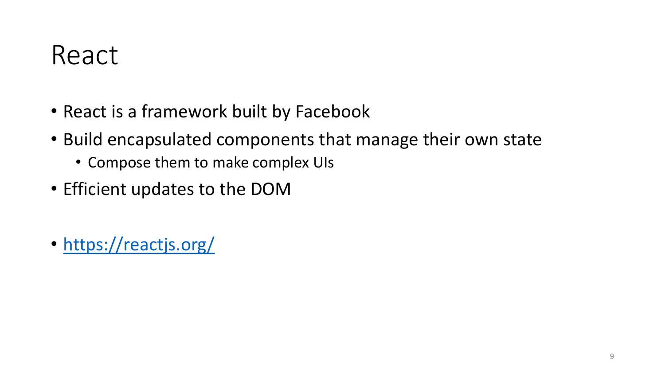#### React

- React is a framework built by Facebook
- Build encapsulated components that manage their own state
	- Compose them to make complex UIs
- Efficient updates to the DOM
- <https://reactjs.org/>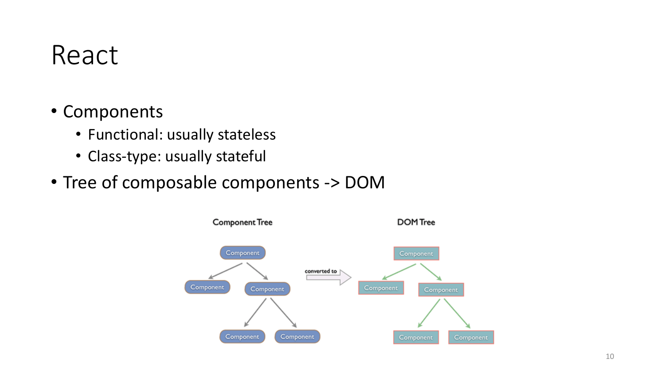#### React

- Components
	- Functional: usually stateless
	- Class-type: usually stateful
- Tree of composable components -> DOM

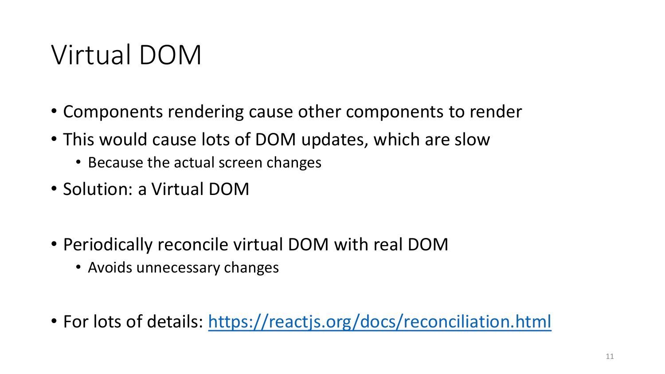## Virtual DOM

- Components rendering cause other components to render
- This would cause lots of DOM updates, which are slow
	- Because the actual screen changes
- Solution: a Virtual DOM
- Periodically reconcile virtual DOM with real DOM
	- Avoids unnecessary changes
- For lots of details: <https://reactjs.org/docs/reconciliation.html>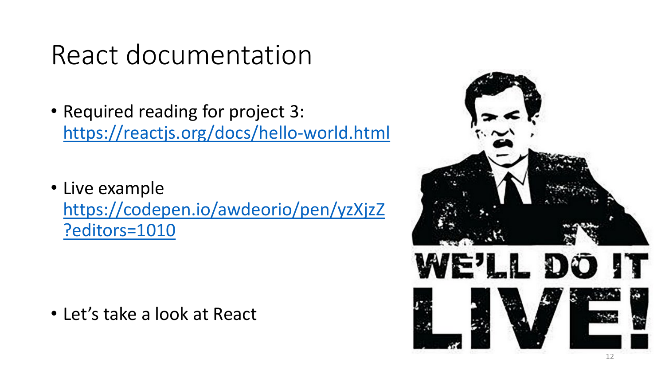#### React documentation

- Required reading for project 3: <https://reactjs.org/docs/hello-world.html>
- Live example [https://codepen.io/awdeorio/pen/yzXjzZ](https://codepen.io/awdeorio/pen/yzXjzZ?editors=1010) ?editors=1010

• Let's take a look at React

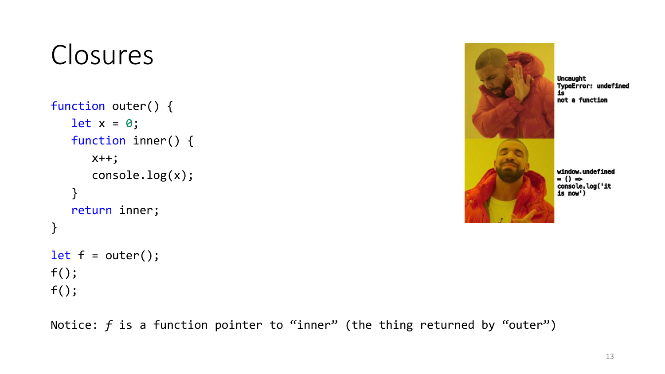# Closures

```
function outer() {
   let x = 0;function inner() {
      x++;
      console.log(x);
   }
   return inner;
}
let f = outer();
f();
```
 $f()$ ;



Uncaught TypeError: undefined  $1s$ not a function

window.undefined  $=$  ()  $\Rightarrow$ console.log('it is now')

Notice: *f* is a function pointer to "inner" (the thing returned by "outer")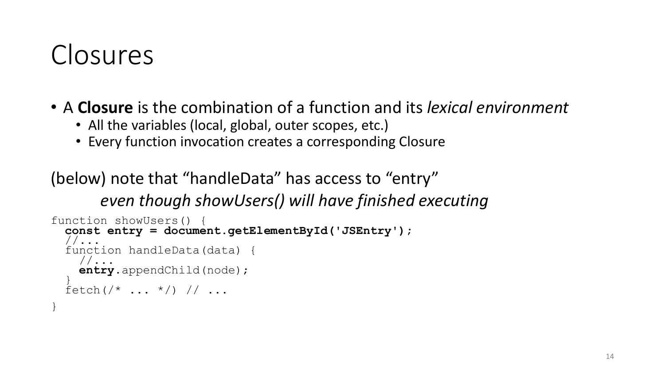## Closures

}

- A **Closure** is the combination of a function and its *lexical environment*
	- All the variables (local, global, outer scopes, etc.)
	- Every function invocation creates a corresponding Closure

(below) note that "handleData" has access to "entry" *even though showUsers() will have finished executing*

```
function showUsers() {
  const entry = document.getElementById('JSEntry');
   //...
  function handleData(data) {
     \frac{1}{2}...
     entry.appendChild(node);
   \frac{1}{2}fetch \, (\, \prime \, * \, \ldots \, * \, / \, ) \, / / \, \ldots
```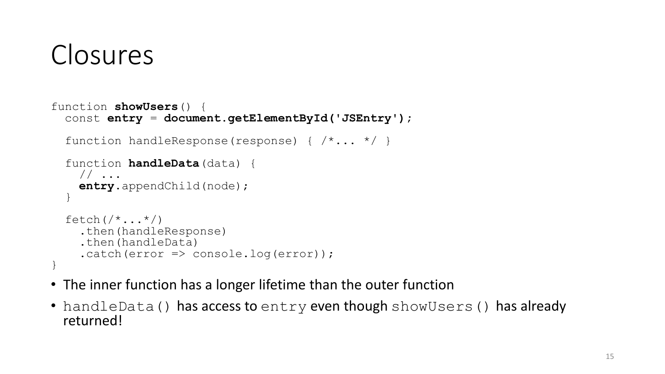# Closures

```
function showUsers() {
  const entry = document.getElementById('JSEntry');
  function handleResponse(response) { /*... */ }
  function handleData(data) {
    // ... 
    entry.appendChild(node);
  }
  fetch \left(\frac{\star}{\cdot} \ldots \star \right).then(handleResponse)
    .then(handleData)
    .catch(error \Rightarrow console.log(error));}
```
- The inner function has a longer lifetime than the outer function
- handleData() has access to entry even though showUsers() has already returned!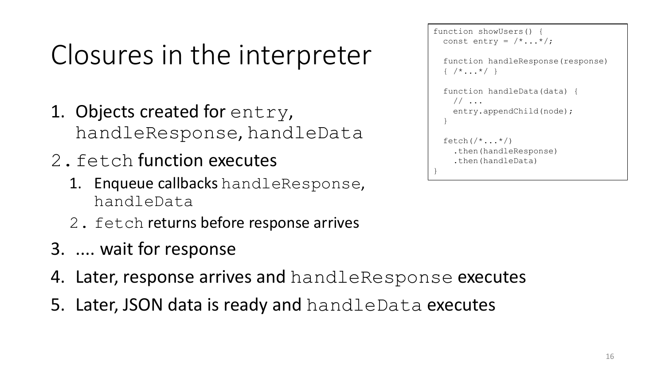# Closures in the interpreter

- 1. Objects created for entry, handleResponse, handleData
- 2.fetch function executes
	- 1. Enqueue callbacks handleResponse, handleData
	- 2. fetch returns before response arrives
- 3. .... wait for response
- 4. Later, response arrives and handleResponse executes
- 5. Later, JSON data is ready and handleData executes

```
function showUsers() {
  const entry = /*...*/;function handleResponse(response)
  \{ / *...* / \}function handleData(data) {
     // ... 
     entry.appendChild(node);
   }
  fetch \left(\frac{\star}{\cdot \cdot \cdot \cdot \star}\right).then(handleResponse)
     .then(handleData)
}
```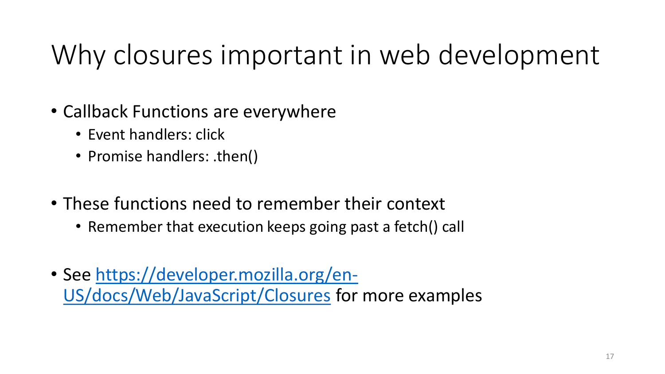# Why closures important in web development

- Callback Functions are everywhere
	- Event handlers: click
	- Promise handlers: .then()
- These functions need to remember their context
	- Remember that execution keeps going past a fetch() call
- [See https://developer.mozilla.org/en-](https://developer.mozilla.org/en-US/docs/Web/JavaScript/Closures)US/docs/Web/JavaScript/Closures for more examples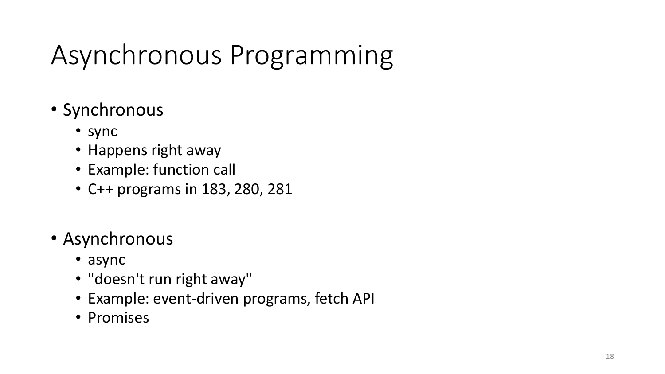# Asynchronous Programming

- Synchronous
	- sync
	- Happens right away
	- Example: function call
	- C++ programs in 183, 280, 281
- Asynchronous
	- async
	- "doesn't run right away"
	- Example: event-driven programs, fetch API
	- Promises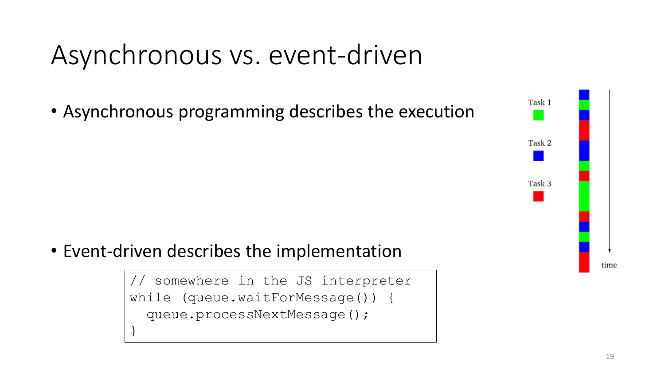## Asynchronous vs. event-driven

• Asynchronous programming describes the execution

• Event-driven describes the implementation

}

somewhere in the JS interpreter while (queue.waitForMessage()) { queue.processNextMessage();

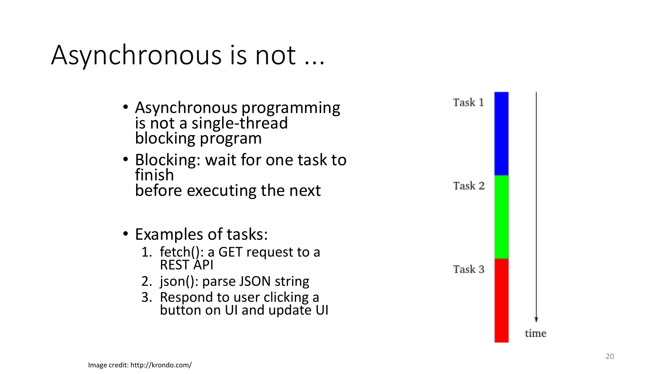### Asynchronous is not ...

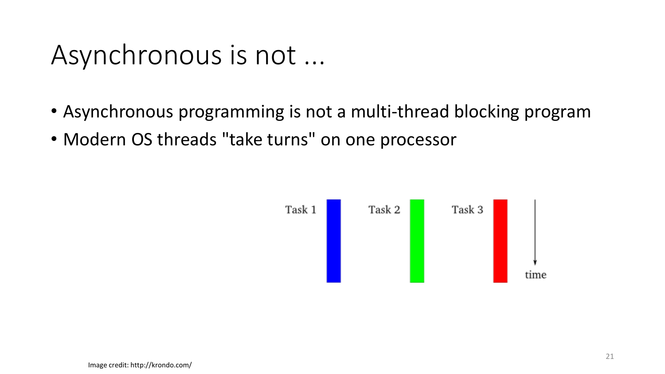#### Asynchronous is not ...

- Asynchronous programming is not a multi-thread blocking program
- Modern OS threads "take turns" on one processor

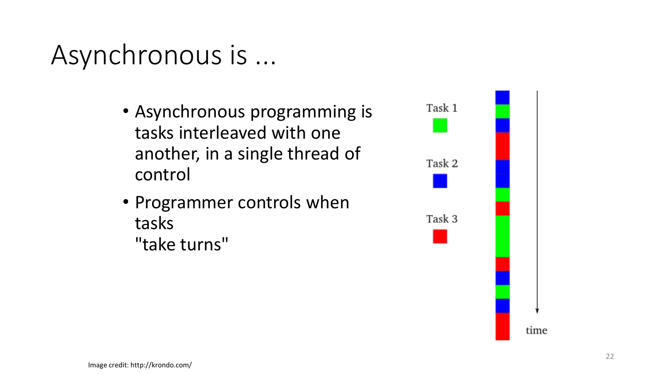### Asynchronous is ...

- Asynchronous programming is tasks interleaved with one another, in a single thread of control
- Programmer controls when tasks "take turns"

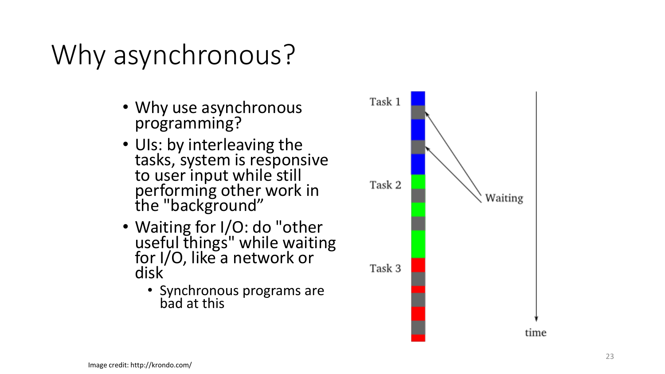# Why asynchronous?

- Why use asynchronous programming?
- UIs: by interleaving the tasks, system is responsive to user input while still performing other work in the "background"
- Waiting for I/O: do "other useful things" while waiting for I/O, like a network or disk
	- Synchronous programs are bad at this

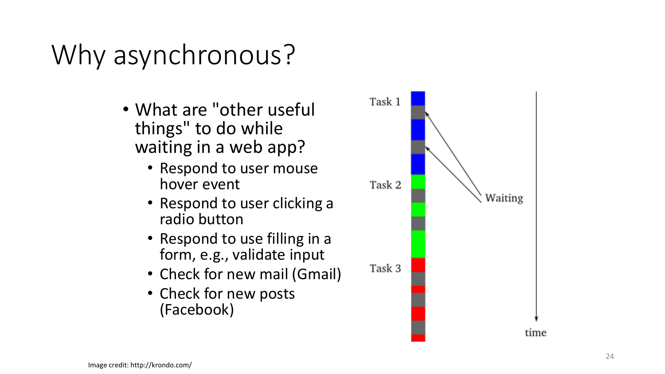# Why asynchronous?

- What are "other useful things" to do while waiting in a web app?
	- Respond to user mouse hover event
	- Respond to user clicking a radio button
	- Respond to use filling in a form, e.g., validate input
	- Check for new mail (Gmail)
	- Check for new posts (Facebook)

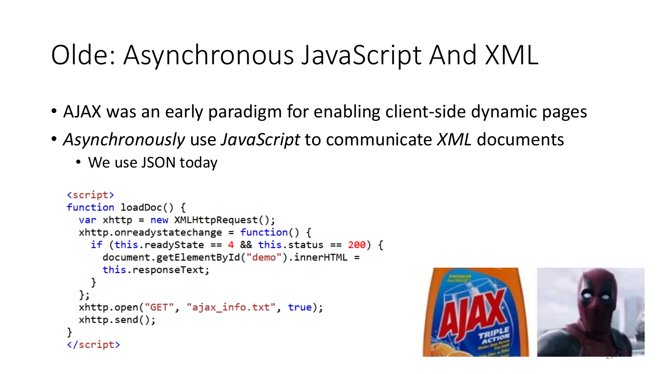# Olde: Asynchronous JavaScript And XML

- AJAX was an early paradigm for enabling client-side dynamic pages
- *Asynchronously* use *JavaScript* to communicate *XML* documents
	- We use JSON today

```
<script>
function loadDoc() {
  var xhttp = new XMLHttpRequest();
  xhttp.onreadystatechange = function() {
    if (this.readyState == 4 && this.status == 200) {
      document.getElementById("demo").innerHTML =
      this.responseText;
  xhttp.open("GET", "ajax_info.txt", true);
  xhttp.send();
\langle/script\rangle
```


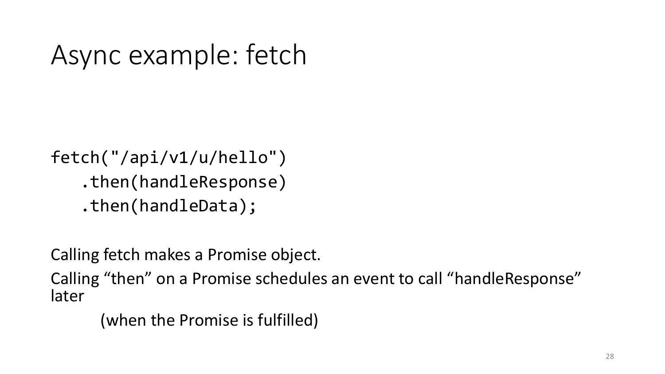## Async example: fetch

fetch("/api/v1/u/hello") .then(handleResponse) .then(handleData);

Calling fetch makes a Promise object.

Calling "then" on a Promise schedules an event to call "handleResponse" later

(when the Promise is fulfilled)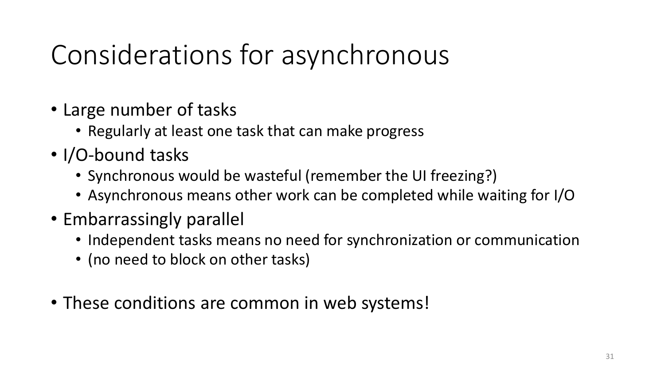# Considerations for asynchronous

- Large number of tasks
	- Regularly at least one task that can make progress
- I/O-bound tasks
	- Synchronous would be wasteful (remember the UI freezing?)
	- Asynchronous means other work can be completed while waiting for I/O
- Embarrassingly parallel
	- Independent tasks means no need for synchronization or communication
	- (no need to block on other tasks)
- These conditions are common in web systems!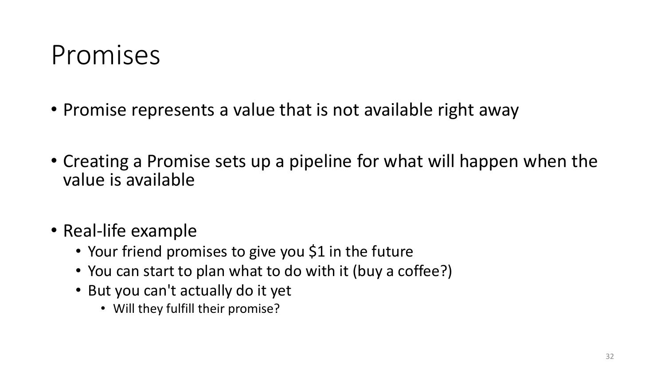#### Promises

- Promise represents a value that is not available right away
- Creating a Promise sets up a pipeline for what will happen when the value is available
- Real-life example
	- Your friend promises to give you \$1 in the future
	- You can start to plan what to do with it (buy a coffee?)
	- But you can't actually do it yet
		- Will they fulfill their promise?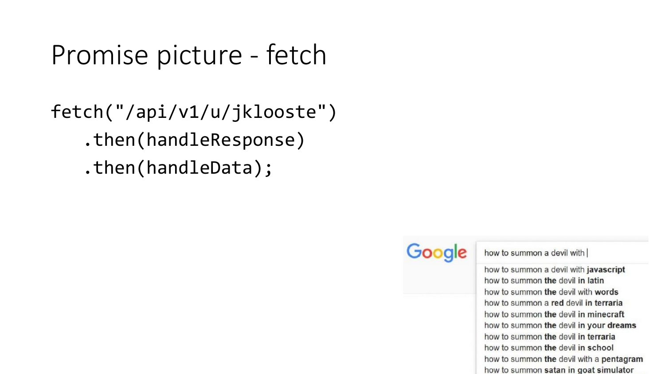#### Promise picture - fetch

fetch("/api/v1/u/jklooste") .then(handleResponse) .then(handleData);



how to summon a devil with

how to summon a devil with javascript how to summon the devil in latin how to summon the devil with words how to summon a red devil in terraria how to summon the devil in minecraft how to summon the devil in your dreams how to summon the devil in terraria how to summon the devil in school how to summon the devil with a pentagram how to summon satan in goat simulator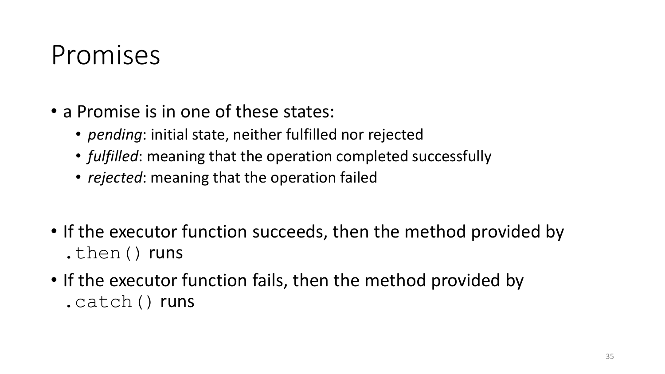#### Promises

- a Promise is in one of these states:
	- *pending*: initial state, neither fulfilled nor rejected
	- *fulfilled*: meaning that the operation completed successfully
	- *rejected*: meaning that the operation failed
- If the executor function succeeds, then the method provided by .then() runs
- If the executor function fails, then the method provided by .catch() runs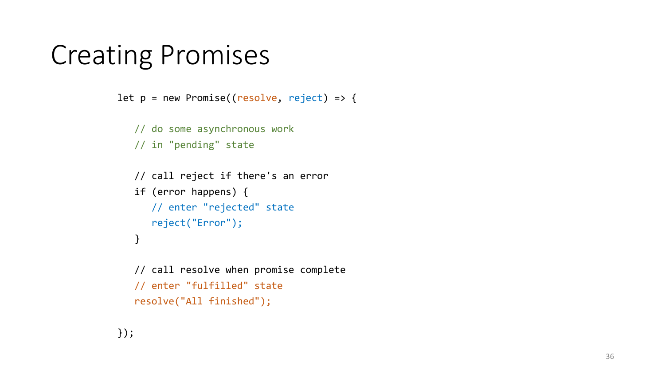#### Creating Promises

```
let p = new Promise((resolve, reject) => {
```

```
// do some asynchronous work
// in "pending" state
```

```
// call reject if there's an error
if (error happens) {
   // enter "rejected" state
   reject("Error");
}
```

```
// call resolve when promise complete
// enter "fulfilled" state
resolve("All finished");
```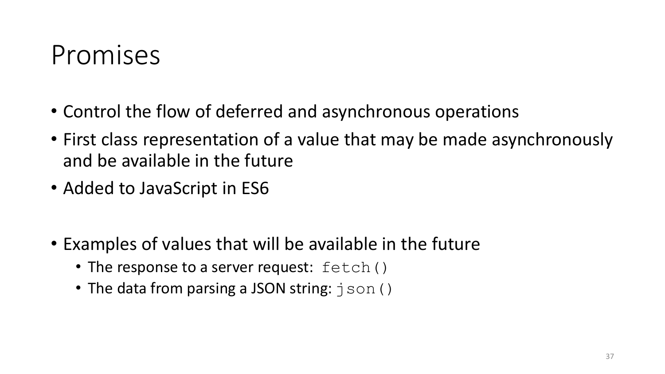#### Promises

- Control the flow of deferred and asynchronous operations
- First class representation of a value that may be made asynchronously and be available in the future
- Added to JavaScript in ES6
- Examples of values that will be available in the future
	- The response to a server request:  $fetch()$
	- The data from parsing a JSON string:  $\exists$  son ()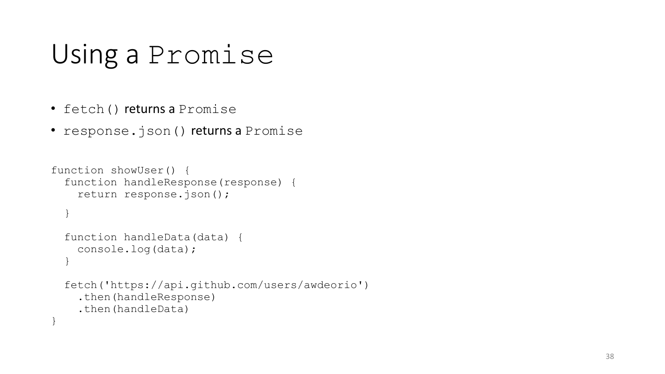## Using a Promise

- fetch() returns a Promise
- response.json() returns a Promise

```
function showUser() {
  function handleResponse(response) {
    return response.json();
  }
  function handleData(data) {
    console.log(data);
  }
  fetch('https://api.github.com/users/awdeorio')
    .then(handleResponse)
    .then(handleData)
}
```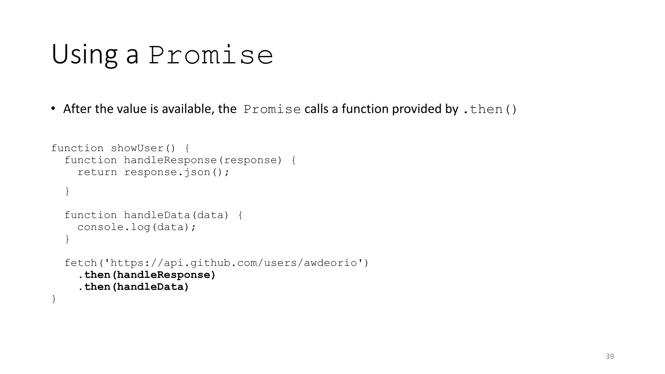#### Using a Promise

• After the value is available, the  $P$ romise calls a function provided by . then ()

```
function showUser() {
  function handleResponse(response) {
    return response.json();
  }
 function handleData(data) {
    console.log(data);
  }
 fetch('https://api.github.com/users/awdeorio')
    .then(handleResponse)
    .then(handleData)
}
```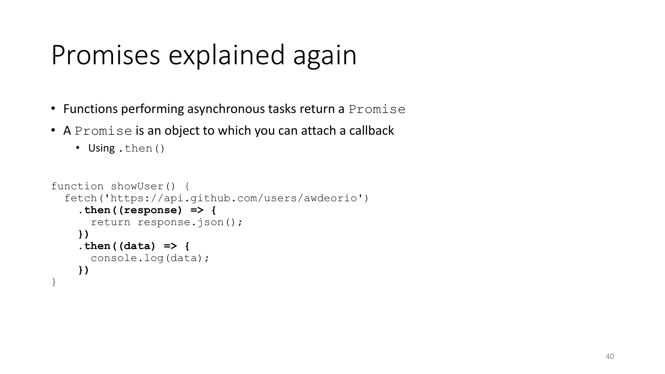## Promises explained again

- Functions performing asynchronous tasks return a Promise
- A Promise is an object to which you can attach a callback

```
• Using .then()
```

```
function showUser() {
  fetch('https://api.github.com/users/awdeorio')
    .then((response) => {
      return response.json();
    })
    .then((data) => {
      console.log(data);
    })
}
```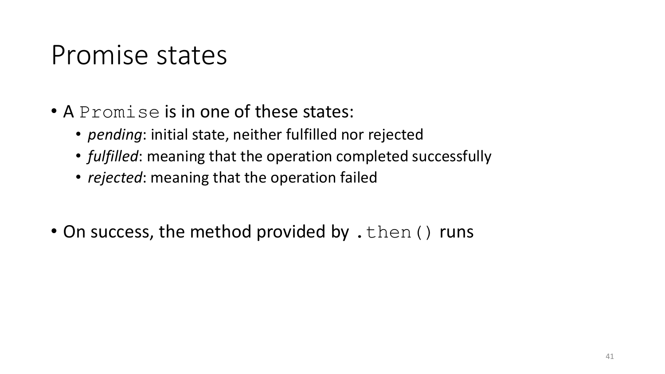#### Promise states

- A Promise is in one of these states:
	- *pending*: initial state, neither fulfilled nor rejected
	- *fulfilled*: meaning that the operation completed successfully
	- *rejected*: meaning that the operation failed
- On success, the method provided by . then () runs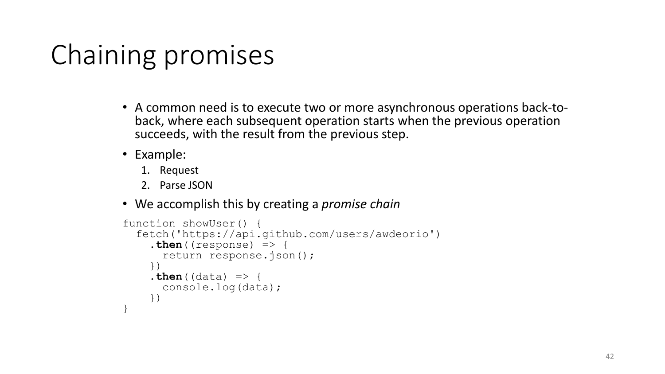# Chaining promises

- A common need is to execute two or more asynchronous operations back-to- back, where each subsequent operation starts when the previous operation succeeds, with the result from the previous step.
- Example:
	- 1. Request
	- 2. Parse JSON
- We accomplish this by creating a *promise chain*

```
function showUser() {
  fetch('https://api.github.com/users/awdeorio')
    .\nthen ( (response) \Rightarrow \{return response.json();
    })

      console.log(data);
    })
}
```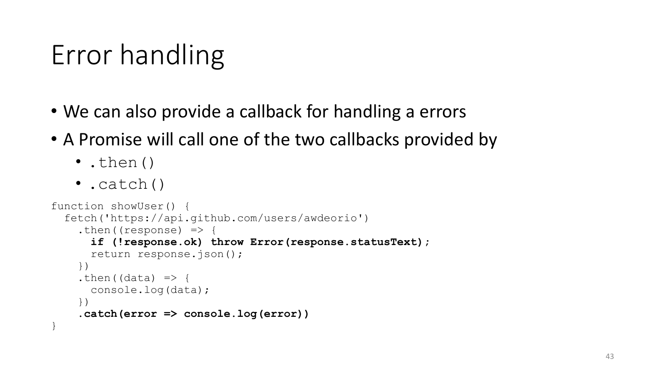# Error handling

- We can also provide a callback for handling a errors
- A Promise will call one of the two callbacks provided by
	- .then()
	- .catch()

```
function showUser() {
  fetch('https://api.github.com/users/awdeorio')
    .then((response) \Rightarrow {
      if (!response.ok) throw Error(response.statusText);
      return response.json();
    })
    .then((data) \Rightarrow {
      console.log(data);
    })
    .catch(error => console.log(error))
}
```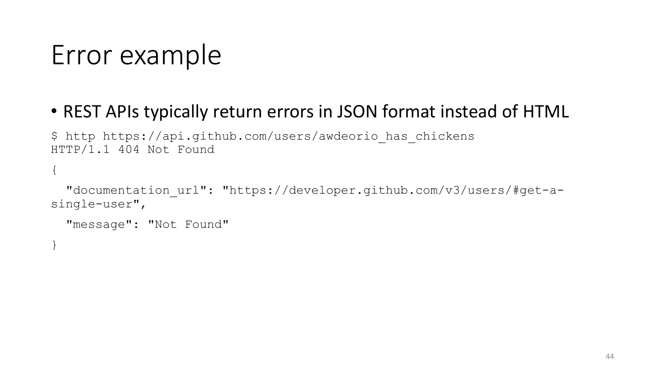## Error example

#### • REST APIs typically return errors in JSON format instead of HTML

\$ http https://api.github.com/users/awdeorio\_has\_chickens HTTP/1.1 404 Not Found

"documentation url": "https://developer.github.com/v3/users/#get-asingle-user",

"message": "Not Found"

}

{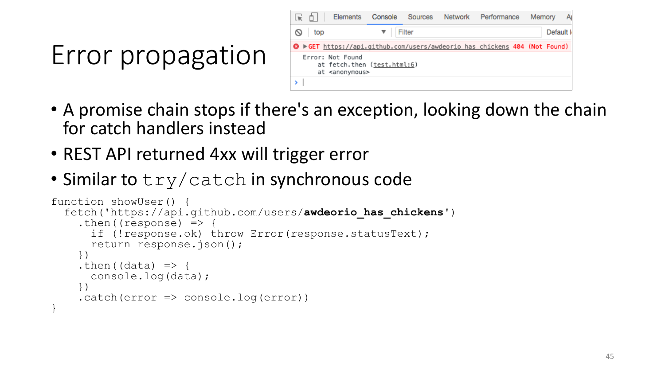# Error propagation

| l vi    | n.  | Elements                                                                      | Console | Sources | Network | Performance                                                                | Memory |           |
|---------|-----|-------------------------------------------------------------------------------|---------|---------|---------|----------------------------------------------------------------------------|--------|-----------|
| $\circ$ | top |                                                                               |         | Filter  |         |                                                                            |        | Default I |
|         |     |                                                                               |         |         |         | ◎ ▶ GET https://api.github.com/users/awdeorio has chickens 404 (Not Found) |        |           |
|         |     | Error: Not Found<br>at fetch.then (test.html:6)<br>at <anonymous></anonymous> |         |         |         |                                                                            |        |           |
|         |     |                                                                               |         |         |         |                                                                            |        |           |

- A promise chain stops if there's an exception, looking down the chain for catch handlers instead
- REST API returned 4xx will trigger error
- Similar to  $try/catch$  in synchronous code

```
function showUser() {
  fetch('https://api.github.com/users/awdeorio_has_chickens')
    .then((response) \Rightarrow {
      if (!response.ok) throw Error(response.statusText);
      return response.json();
    })
    .then((data) \Rightarrow {
      console.log(data);
    })
    .catch(error \Rightarrow console.log(error))}
```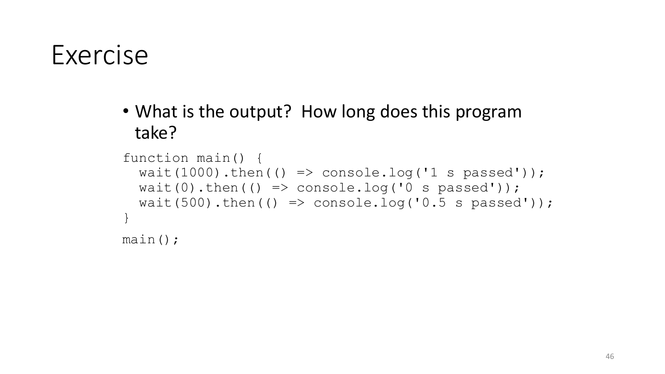#### Exercise

• What is the output? How long does this program take?

```
function main() {
  wait(1000).then(() => console.log('1 s passed'));
  wait(0).then(() => console.log('0 s passed'));
  wait(500).then(() => console.log('0.5 s passed'));
}
main();
```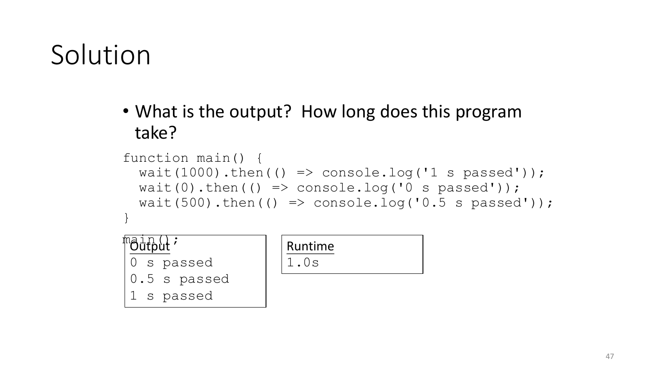## Solution

• What is the output? How long does this program take?

```
function main() {
 wait(1000).then(() => console.log('1 s passed'));
 wait(0).then(() => console.log('0 s passed'));
 wait(500).then(() => console.log('0.5 s passed'));
}
```


| Runtime |  |  |  |  |  |
|---------|--|--|--|--|--|
| l.Us    |  |  |  |  |  |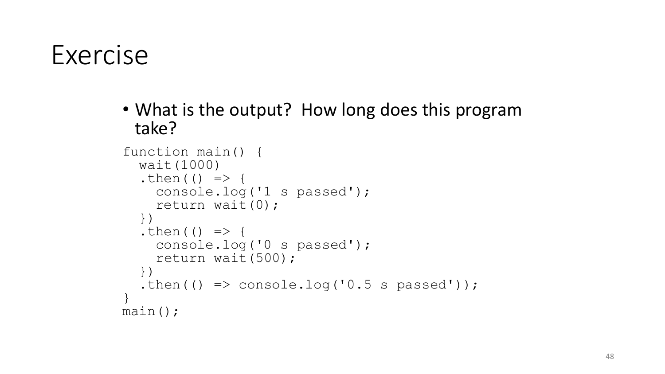#### Exercise

• What is the output? How long does this program take?

```
function main() {<br>wait(1000)
  .then(() \Rightarrow {
    console.log('1 s passed');
    return wait(0);
  })
  .then(() \Rightarrow {
    console.log('0 s passed');
    return wait(500);
  })
  .then(() => console.log('0.5 s passed'));
}
main();
```